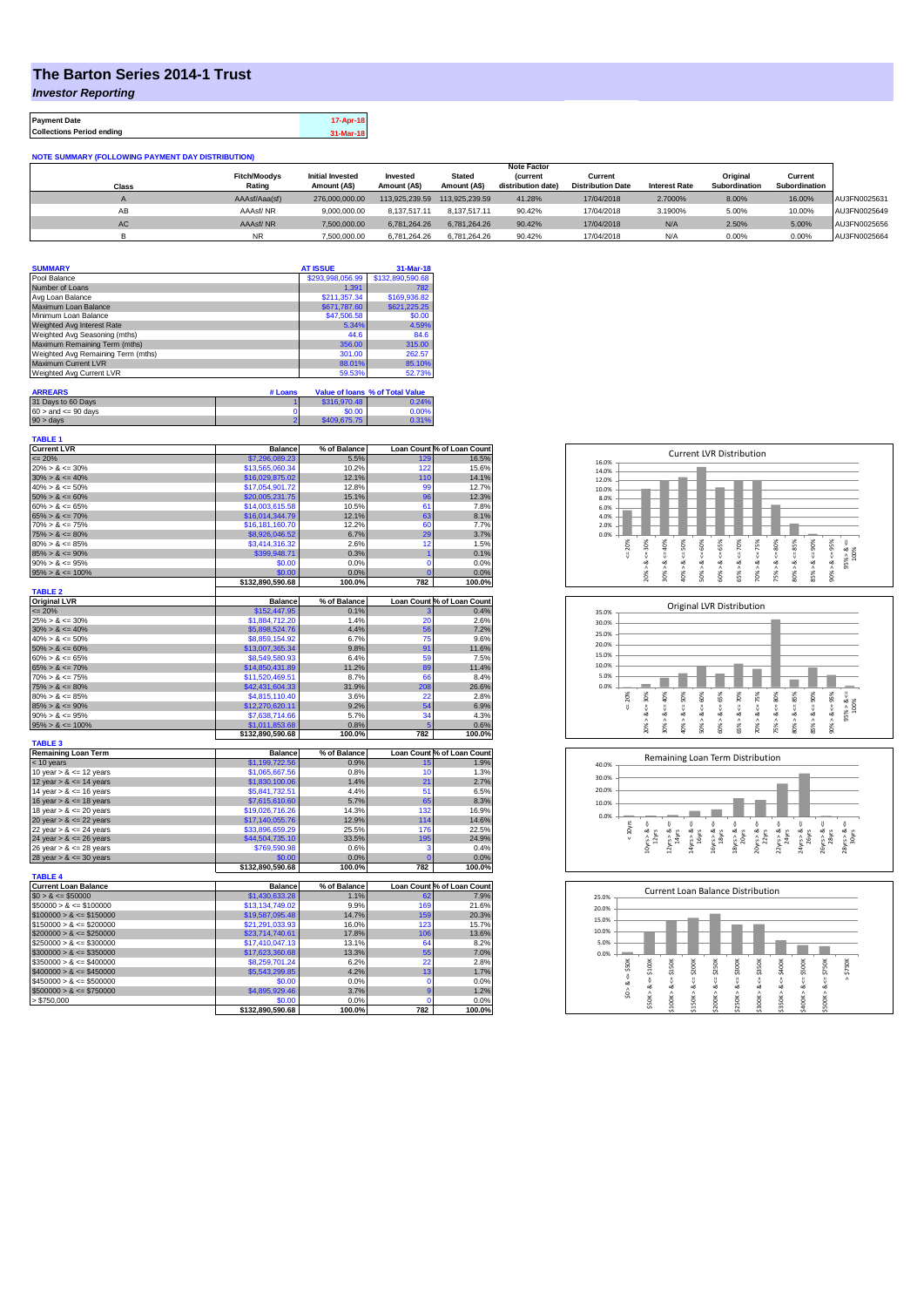## **The Barton Series 2014-1 Trust**

*Investor Reporting*

**Payment Date 17-Apr-18 Collections Period ending 31-Mar-18**

| <b>NOTE SUMMARY (FOLLOWING PAYMENT DAY DISTRIBUTION)</b> |                     |                         |                |                |                    |                          |                      |               |               |              |
|----------------------------------------------------------|---------------------|-------------------------|----------------|----------------|--------------------|--------------------------|----------------------|---------------|---------------|--------------|
|                                                          |                     |                         |                |                | <b>Note Factor</b> |                          |                      |               |               |              |
|                                                          | <b>Fitch/Moodvs</b> | <b>Initial Invested</b> | Invested       | <b>Stated</b>  | <b>Current</b>     | Current                  |                      | Original      | Current       |              |
| Class                                                    | Rating              | Amount (A\$)            | Amount (A\$)   | Amount (A\$)   | distribution date) | <b>Distribution Date</b> | <b>Interest Rate</b> | Subordination | Subordination |              |
|                                                          | AAAsf/Aaa(sf)       | 276,000,000,00          | 113.925.239.59 | 113.925.239.59 | 41.28%             | 17/04/2018               | 2.7000%              | 8.00%         | 16.00%        | AU3FN0025631 |
| AB                                                       | AAAsf/NR            | 9.000.000.00            | 8.137.517.11   | 8.137.517.11   | 90.42%             | 17/04/2018               | 3.1900%              | 5.00%         | 10.00%        | AU3FN0025649 |
| AC                                                       | AAAsf/NR            | 7,500,000.00            | 6.781.264.26   | 6.781.264.26   | 90.42%             | 17/04/2018               | N/A                  | 2.50%         | 5.00%         | AU3FN0025656 |
|                                                          | <b>NR</b>           | 7.500.000.00            | 6.781.264.26   | 6.781.264.26   | 90.42%             | 17/04/2018               | N/A                  | 0.00%         | 0.00%         | AU3FN0025664 |

| <b>SUMMARY</b>                     |         | <b>AT ISSUE</b>  | 31-Mar-18                       |
|------------------------------------|---------|------------------|---------------------------------|
| Pool Balance                       |         | \$293,998,056.99 | \$132,890,590.68                |
| Number of Loans                    |         | 1.391            | 782                             |
| Avg Loan Balance                   |         | \$211.357.34     | \$169,936.82                    |
| Maximum Loan Balance               |         | \$671,787.60     | \$621.225.25                    |
| Minimum Loan Balance               |         | \$47,506.58      | \$0.00                          |
| Weighted Avg Interest Rate         |         | 5.34%            | 4.59%                           |
| Weighted Avg Seasoning (mths)      |         | 44.6             | 84.6                            |
| Maximum Remaining Term (mths)      |         | 356.00           | 315.00                          |
| Weighted Avg Remaining Term (mths) |         | 301.00           | 262.57                          |
| Maximum Current LVR                |         | 88.01%           | 85.10%                          |
| Weighted Avg Current LVR           |         | 59.53%           | 52.73%                          |
|                                    |         |                  |                                 |
| <b>ARREARS</b>                     | # Loans |                  | Value of Ioans % of Total Value |

| 31 Days to 60 Days        | \$316,970.48 | 0.24% |
|---------------------------|--------------|-------|
| $60 >$ and $\leq 90$ days | \$0.00       | 0.00% |
| $90 >$ days               | \$409,675.75 | 0.31% |

| <b>TABLE 1</b><br><b>Current LVR</b>          | <b>Balance</b>   | % of Balance |             | Loan Count % of Loan Count |
|-----------------------------------------------|------------------|--------------|-------------|----------------------------|
| $\leq$ 20%                                    | \$7,296,089.23   | 5.5%         | 129         | 16.5%                      |
| $20\% > 8 \le 30\%$                           | \$13,565,060,34  | 10.2%        | 122         | 15.6%                      |
| $30\% > 8 \le 40\%$                           | \$16,029,875.02  | 12.1%        | 110         | 14.1%                      |
| $40\% > 8 \le 50\%$                           | \$17,054,901.72  | 12.8%        | 99          | 12.7%                      |
| $50\% > 8 \le 60\%$                           | \$20,005,231.75  | 15.1%        | 96          | 12.3%                      |
| $60\% > 8 \le 65\%$                           | \$14,003,615.58  | 10.5%        | 61          | 7.8%                       |
| $65\% > 8 \le 70\%$                           | \$16,014,344.79  | 12.1%        | 63          | 8.1%                       |
| $70\% > 8 \le 75\%$                           | \$16,181,160.70  | 12.2%        | 60          | 7.7%                       |
| $75\% > 8 \le 80\%$                           | \$8,926,046.52   | 6.7%         | 29          | 3.7%                       |
| $80\% > 8 \le 85\%$                           | \$3,414,316.32   | 2.6%         | 12          | 1.5%                       |
| $85\% > 8 \le 90\%$                           | \$399,948.71     | 0.3%         | 1           | 0.1%                       |
| $90\% > 8 \le 95\%$                           | \$0.00           | 0.0%         | $\mathbf 0$ | 0.0%                       |
| $95\% > 8 \le 100\%$                          | \$0.00           | 0.0%         |             | 0.0%                       |
|                                               | \$132,890,590.68 | 100.0%       | 782         | 100.0%                     |
| <b>TABLE 2</b>                                |                  |              |             |                            |
| <b>Original LVR</b>                           | <b>Balance</b>   | % of Balance |             | Loan Count % of Loan Count |
| $= 20%$                                       | \$152,447.95     | 0.1%         |             | 0.4%                       |
| $25\% > 8 \le 30\%$                           | \$1.884.712.20   | 1.4%         | 20          | 2.6%                       |
| $30\% > 8 \le 40\%$                           | \$5,898,524.76   | 4.4%         | 56          | 7.2%                       |
| $40\% > 8 \le 50\%$                           | \$8,859,154.92   | 6.7%         | 75          | 9.6%                       |
| $50\% > 8 \le 60\%$                           | \$13,007,365.34  | 9.8%         | 91          | 11.6%                      |
| $60\% > 8 \le 65\%$                           | \$8,549,580.93   | 6.4%         | 59          | 7.5%                       |
| $65\% > 8 \le 70\%$                           | \$14,850,431.89  | 11.2%        | 89          | 11.4%                      |
| $70\% > 8 \le 75\%$                           | \$11,520,469.51  | 8.7%         | 66          | 8.4%                       |
| $75\% > 8 \le 80\%$                           | \$42,431,604.33  | 31.9%        | 208         | 26.6%                      |
| $80\% > 8 \le 85\%$                           | \$4,815,110.40   | 3.6%         | 22          | 2.8%                       |
| $85\% > 8 \le 90\%$                           | \$12,270,620.11  | 9.2%         | 54          | 6.9%                       |
| $90\% > 8 \le 95\%$                           | \$7,638,714.66   | 5.7%         | 34          | 4.3%                       |
| $95\% > 8 \le 100\%$                          | \$1,011,853.68   | 0.8%         |             | 0.6%                       |
|                                               | \$132,890,590.68 | 100.0%       | 782         | 100.0%                     |
| <b>TABLE 3</b>                                |                  |              |             |                            |
| <b>Remaining Loan Term</b>                    | <b>Balance</b>   | % of Balance |             | Loan Count % of Loan Count |
| < 10 years                                    | \$1,199,722.56   | 0.9%         | 15          | 1.9%                       |
| 10 year $> 8 \le 12$ years                    | \$1,065,667.56   | 0.8%         | 10          | 1.3%                       |
| 12 year $> 8 \le 14$ years                    | \$1,830,100.06   | 1.4%         | 21          | 2.7%                       |
| 14 year $> 8 \le 16$ years                    | \$5,841,732.51   | 4.4%         | 51          | 6.5%                       |
| 16 year $> 8 \le 18$ years                    | \$7,615,610.60   | 5.7%         | 65          | 8.3%                       |
| 18 year $> 8 \le 20$ years                    | \$19,026,716.26  | 14.3%        | 132         | 16.9%                      |
| 20 year $> 8 \le 22$ years                    | \$17,140,055.76  | 12.9%        | 114         | 14.6%                      |
| 22 year $> 8 \le 24$ years                    | \$33,896,659.29  | 25.5%        | 176         | 22.5%                      |
| 24 year $> 8 \le 26$ years                    | \$44,504,735.10  | 33.5%        | 195         | 24.9%                      |
| 26 year $> 8 \le 28$ years                    | \$769,590.98     | 0.6%         | я           | 0.4%                       |
| 28 year $> 8 \le 30$ years                    | \$0.00           | 0.0%         | O           | 0.0%                       |
|                                               | \$132,890,590.68 | 100.0%       | 782         | 100.0%                     |
| <b>TABLE 4</b><br><b>Current Loan Balance</b> |                  |              |             | Loan Count % of Loan Count |
|                                               | <b>Balance</b>   | % of Balance | 62          |                            |
| $$0 > 8 \le $50000$                           | \$1,430,633.28   | 1.1%         |             | 7.9%                       |
| $$50000 > 8 \le $100000$                      | \$13,134,749.02  | 9.9%         | 169         | 21.6%                      |
| $$100000 > 8 \leq $150000$                    | \$19,587,095.48  | 14.7%        | 159         | 20.3%                      |
| $$150000 > 8 \leq $200000$                    | \$21.291.033.93  | 16.0%        | 123         | 15.7%                      |
| $$200000 > 8 \leq $250000$                    | \$23,714,740.61  | 17.8%        | 106         | 13.6%                      |
| $$250000 > 8 \leq $300000$                    | \$17,410,047.13  | 13.1%        | 64          | 8.2%                       |
| $$300000 > 8 \leq $350000$                    | \$17,623,360.68  | 13.3%        | 55          | 7.0%                       |
| $$350000 > 8 \le $400000$                     | \$8,259,701.24   | 6.2%         | 22          | 2.8%                       |
| $$400000 > 8 \le $450000$                     | \$5,543,299.85   | 4.2%         | 13          | 1.7%                       |
| $$450000 > 8 \le $500000$                     | \$0.00           | 0.0%         | $\Omega$    | 0.0%                       |
| $$500000 > 8 \le $750000$                     | \$4,895,929.46   | 3.7%         | 9           | 1.2%                       |
| > \$750,000                                   | \$0.00           | 0.0%         | $\Omega$    | 0.0%                       |
|                                               | \$132,890,590.68 | 100.0%       | 782         | 100.0%                     |







|       |                                                 |                           |                             |                                 |                                      |                                 | <b>Current Loan Balance Distribution</b> |                            |                                 |                             |             |
|-------|-------------------------------------------------|---------------------------|-----------------------------|---------------------------------|--------------------------------------|---------------------------------|------------------------------------------|----------------------------|---------------------------------|-----------------------------|-------------|
| 20.0% |                                                 |                           |                             |                                 |                                      |                                 |                                          |                            |                                 |                             |             |
| 15.0% |                                                 |                           |                             |                                 |                                      |                                 |                                          |                            |                                 |                             |             |
| 10.0% |                                                 |                           |                             |                                 |                                      |                                 |                                          |                            |                                 |                             |             |
| 5.0%  |                                                 |                           |                             |                                 |                                      |                                 |                                          |                            |                                 |                             |             |
| 0.0%  |                                                 |                           |                             |                                 |                                      |                                 |                                          |                            |                                 |                             |             |
|       | \$50K<br>$\frac{1}{\sqrt{2}}$<br>త<br>$\hat{s}$ | \$100K<br>ಯ<br>٨<br>\$50K | \$150K<br>V<br>∞<br>\$100K> | \$200K<br>U<br>œ<br>Λ<br>\$150K | \$250K<br>H<br>ÿ<br>œ<br>٨<br>\$200K | \$300K<br>U<br>∞<br>Λ<br>\$250K | \$350K<br>ű<br>œ<br>Λ<br>\$300K          | $4 = 5400K$<br>∞<br>\$350K | \$500K<br>H<br>ಯ<br>٨<br>\$400K | \$750K<br>V<br>∞<br>\$500K> | \$750K<br>٨ |